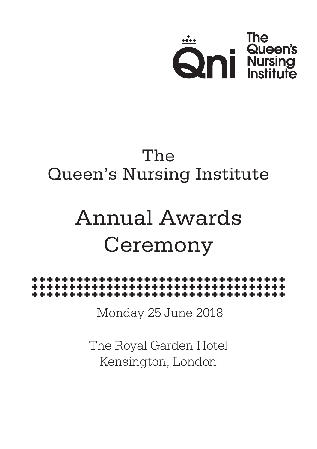

# The Queen's Nursing Institute

# Annual Awards Ceremony



Monday 25 June 2018

The Royal Garden Hotel Kensington, London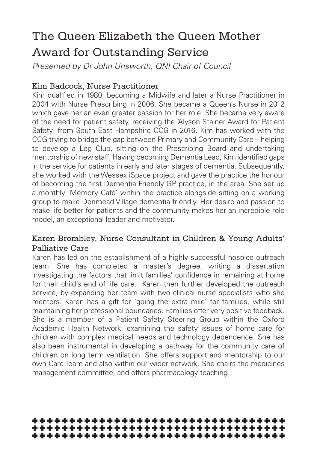# The Queen Elizabeth the Queen Mother Award for Outstanding Service

*Presented by Dr John Unsworth, QNI Chair of Council*

#### Kim Badcock, Nurse Practitioner

Kim qualified in 1980, becoming a Midwife and later a Nurse Practitioner in 2004 with Nurse Prescribing in 2006. She became a Queen's Nurse in 2012 which gave her an even greater passion for her role. She became very aware of the need for patient safety, receiving the 'Alyson Stainer Award for Patient Safety' from South East Hampshire CCG in 2016. Kim has worked with the CCG trying to bridge the gap between Primary and Community Care – helping to develop a Leg Club, sitting on the Prescribing Board and undertaking mentorship of new staff. Having becoming Dementia Lead, Kim identified gaps in the service for patients in early and later stages of dementia. Subsequently, she worked with the Wessex iSpace project and gave the practice the honour of becoming the first Dementia Friendly GP practice, in the area. She set up a monthly 'Memory Café' within the practice alongside sitting on a working group to make Denmead Village dementia friendly. Her desire and passion to make life better for patients and the community makes her an incredible role model, an exceptional leader and motivator.

### Karen Brombley, Nurse Consultant in Children & Young Adults' Palliative Care

Karen has led on the establishment of a highly successful hospice outreach team. She has completed a master's degree, writing a dissertation investigating the factors that limit families' confidence in remaining at home for their child's end of life care. Karen then further developed the outreach service, by expanding her team with two clinical nurse specialists who she mentors. Karen has a gift for 'going the extra mile' for families, while still maintaining her professional boundaries. Families offer very positive feedback. She is a member of a Patient Safety Steering Group within the Oxford Academic Health Network, examining the safety issues of home care for children with complex medical needs and technology dependence. She has also been instrumental in developing a pathway for the community care of children on long term ventilation. She offers support and mentorship to our own Care Team and also within our wider network. She chairs the medicines management committee, and offers pharmacology teaching.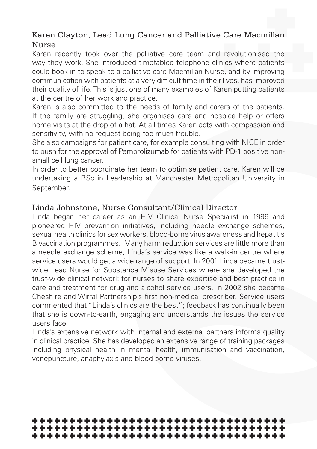### Karen Clayton, Lead Lung Cancer and Palliative Care Macmillan Nurse

Karen recently took over the palliative care team and revolutionised the way they work. She introduced timetabled telephone clinics where patients could book in to speak to a palliative care Macmillan Nurse, and by improving communication with patients at a very difficult time in their lives, has improved their quality of life. This is just one of many examples of Karen putting patients at the centre of her work and practice.

Karen is also committed to the needs of family and carers of the patients. If the family are struggling, she organises care and hospice help or offers home visits at the drop of a hat. At all times Karen acts with compassion and sensitivity, with no request being too much trouble.

She also campaigns for patient care, for example consulting with NICE in order to push for the approval of Pembrolizumab for patients with PD-1 positive nonsmall cell lung cancer.

In order to better coordinate her team to optimise patient care, Karen will be undertaking a BSc in Leadership at Manchester Metropolitan University in September.

#### Linda Johnstone, Nurse Consultant/Clinical Director

Linda began her career as an HIV Clinical Nurse Specialist in 1996 and pioneered HIV prevention initiatives, including needle exchange schemes, sexual health clinics for sex workers, blood-borne virus awareness and hepatitis B vaccination programmes. Many harm reduction services are little more than a needle exchange scheme; Linda's service was like a walk-in centre where service users would get a wide range of support. In 2001 Linda became trustwide Lead Nurse for Substance Misuse Services where she developed the trust-wide clinical network for nurses to share expertise and best practice in care and treatment for drug and alcohol service users. In 2002 she became Cheshire and Wirral Partnership's first non-medical prescriber. Service users commented that "Linda's clinics are the best"; feedback has continually been that she is down-to-earth, engaging and understands the issues the service users face.

Linda's extensive network with internal and external partners informs quality in clinical practice. She has developed an extensive range of training packages including physical health in mental health, immunisation and vaccination, venepuncture, anaphylaxis and blood-borne viruses.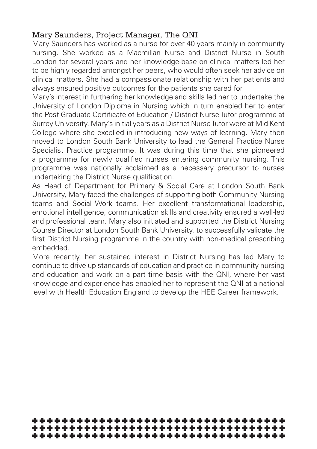### Mary Saunders, Project Manager, The QNI

Mary Saunders has worked as a nurse for over 40 years mainly in community nursing. She worked as a Macmillan Nurse and District Nurse in South London for several years and her knowledge-base on clinical matters led her to be highly regarded amongst her peers, who would often seek her advice on clinical matters. She had a compassionate relationship with her patients and always ensured positive outcomes for the patients she cared for.

Mary's interest in furthering her knowledge and skills led her to undertake the University of London Diploma in Nursing which in turn enabled her to enter the Post Graduate Certificate of Education / District Nurse Tutor programme at Surrey University. Mary's initial years as a District Nurse Tutor were at Mid Kent College where she excelled in introducing new ways of learning. Mary then moved to London South Bank University to lead the General Practice Nurse Specialist Practice programme. It was during this time that she pioneered a programme for newly qualified nurses entering community nursing. This programme was nationally acclaimed as a necessary precursor to nurses undertaking the District Nurse qualification.

As Head of Department for Primary & Social Care at London South Bank University, Mary faced the challenges of supporting both Community Nursing teams and Social Work teams. Her excellent transformational leadership, emotional intelligence, communication skills and creativity ensured a well-led and professional team. Mary also initiated and supported the District Nursing Course Director at London South Bank University, to successfully validate the first District Nursing programme in the country with non-medical prescribing embedded.

More recently, her sustained interest in District Nursing has led Mary to continue to drive up standards of education and practice in community nursing and education and work on a part time basis with the QNI, where her vast knowledge and experience has enabled her to represent the QNI at a national level with Health Education England to develop the HEE Career framework.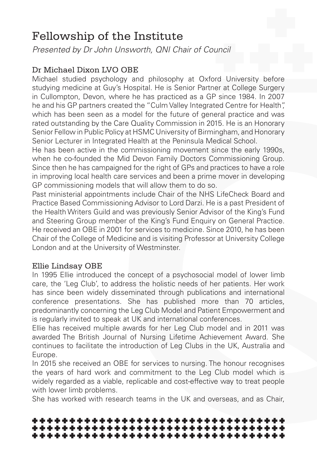# Fellowship of the Institute

*Presented by Dr John Unsworth, QNI Chair of Council*

### Dr Michael Dixon LVO OBE

Michael studied psychology and philosophy at Oxford University before studying medicine at Guy's Hospital. He is Senior Partner at College Surgery in Cullompton, Devon, where he has practiced as a GP since 1984. In 2007 he and his GP partners created the "Culm Valley Integrated Centre for Health", which has been seen as a model for the future of general practice and was rated outstanding by the Care Quality Commission in 2015. He is an Honorary Senior Fellow in Public Policy at HSMC University of Birmingham, and Honorary Senior Lecturer in Integrated Health at the Peninsula Medical School.

He has been active in the commissioning movement since the early 1990s, when he co-founded the Mid Devon Family Doctors Commissioning Group. Since then he has campaigned for the right of GPs and practices to have a role in improving local health care services and been a prime mover in developing GP commissioning models that will allow them to do so.

Past ministerial appointments include Chair of the NHS LifeCheck Board and Practice Based Commissioning Advisor to Lord Darzi. He is a past President of the Health Writers Guild and was previously Senior Advisor of the King's Fund and Steering Group member of the King's Fund Enquiry on General Practice. He received an OBE in 2001 for services to medicine. Since 2010, he has been Chair of the College of Medicine and is visiting Professor at University College London and at the University of Westminster.

#### Ellie Lindsay OBE

In 1995 Ellie introduced the concept of a psychosocial model of lower limb care, the 'Leg Club', to address the holistic needs of her patients. Her work has since been widely disseminated through publications and international conference presentations. She has published more than 70 articles, predominantly concerning the Leg Club Model and Patient Empowerment and is regularly invited to speak at UK and international conferences.

Ellie has received multiple awards for her Leg Club model and in 2011 was awarded The British Journal of Nursing Lifetime Achievement Award. She continues to facilitate the introduction of Leg Clubs in the UK, Australia and Europe.

In 2015 she received an OBE for services to nursing. The honour recognises the years of hard work and commitment to the Leg Club model which is widely regarded as a viable, replicable and cost-effective way to treat people with lower limb problems.

She has worked with research teams in the UK and overseas, and as Chair,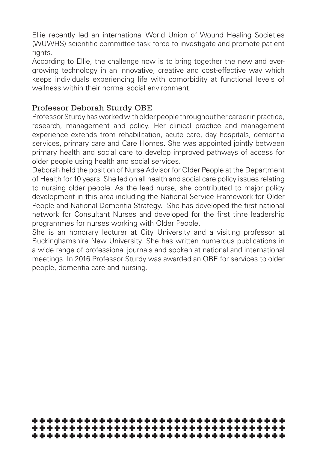Ellie recently led an international World Union of Wound Healing Societies (WUWHS) scientific committee task force to investigate and promote patient rights.

According to Ellie, the challenge now is to bring together the new and evergrowing technology in an innovative, creative and cost-effective way which keeps individuals experiencing life with comorbidity at functional levels of wellness within their normal social environment.

#### Professor Deborah Sturdy OBE

Professor Sturdy has worked with older people throughout her career in practice, research, management and policy. Her clinical practice and management experience extends from rehabilitation, acute care, day hospitals, dementia services, primary care and Care Homes. She was appointed jointly between primary health and social care to develop improved pathways of access for older people using health and social services.

Deborah held the position of Nurse Advisor for Older People at the Department of Health for 10 years. She led on all health and social care policy issues relating to nursing older people. As the lead nurse, she contributed to major policy development in this area including the National Service Framework for Older People and National Dementia Strategy. She has developed the first national network for Consultant Nurses and developed for the first time leadership programmes for nurses working with Older People.

She is an honorary lecturer at City University and a visiting professor at Buckinghamshire New University. She has written numerous publications in a wide range of professional journals and spoken at national and international meetings. In 2016 Professor Sturdy was awarded an OBE for services to older people, dementia care and nursing.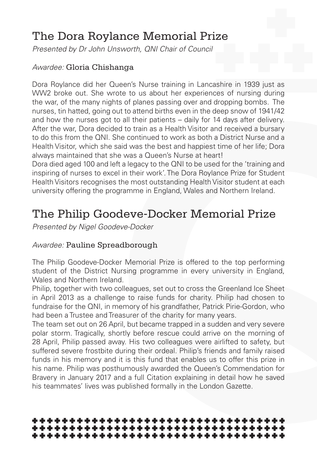# The Dora Roylance Memorial Prize

*Presented by Dr John Unsworth, QNI Chair of Council*

#### *Awardee:* Gloria Chishanga

Dora Roylance did her Queen's Nurse training in Lancashire in 1939 just as WW2 broke out. She wrote to us about her experiences of nursing during the war, of the many nights of planes passing over and dropping bombs. The nurses, tin hatted, going out to attend births even in the deep snow of 1941/42 and how the nurses got to all their patients – daily for 14 days after delivery. After the war, Dora decided to train as a Health Visitor and received a bursary to do this from the QNI. She continued to work as both a District Nurse and a Health Visitor, which she said was the best and happiest time of her life; Dora always maintained that she was a Queen's Nurse at heart!

Dora died aged 100 and left a legacy to the QNI to be used for the 'training and inspiring of nurses to excel in their work'. The Dora Roylance Prize for Student Health Visitors recognises the most outstanding Health Visitor student at each university offering the programme in England, Wales and Northern Ireland.

# The Philip Goodeve-Docker Memorial Prize

*Presented by Nigel Goodeve-Docker* 

#### *Awardee:* Pauline Spreadborough

The Philip Goodeve-Docker Memorial Prize is offered to the top performing student of the District Nursing programme in every university in England, Wales and Northern Ireland.

Philip, together with two colleagues, set out to cross the Greenland Ice Sheet in April 2013 as a challenge to raise funds for charity. Philip had chosen to fundraise for the QNI, in memory of his grandfather, Patrick Pirie-Gordon, who had been a Trustee and Treasurer of the charity for many years.

The team set out on 26 April, but became trapped in a sudden and very severe polar storm. Tragically, shortly before rescue could arrive on the morning of 28 April, Philip passed away. His two colleagues were airlifted to safety, but suffered severe frostbite during their ordeal. Philip's friends and family raised funds in his memory and it is this fund that enables us to offer this prize in his name. Philip was posthumously awarded the Queen's Commendation for Bravery in January 2017 and a full Citation explaining in detail how he saved his teammates' lives was published formally in the London Gazette.

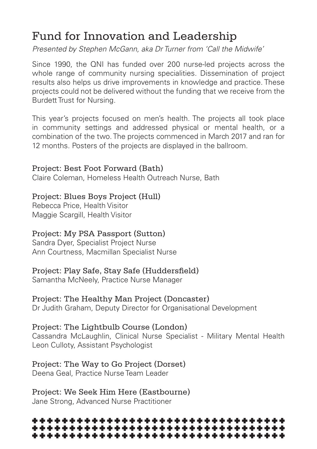# Fund for Innovation and Leadership

*Presented by Stephen McGann, aka Dr Turner from 'Call the Midwife'*

Since 1990, the QNI has funded over 200 nurse-led projects across the whole range of community nursing specialities. Dissemination of project results also helps us drive improvements in knowledge and practice. These projects could not be delivered without the funding that we receive from the Burdett Trust for Nursing.

This year's projects focused on men's health. The projects all took place in community settings and addressed physical or mental health, or a combination of the two. The projects commenced in March 2017 and ran for 12 months. Posters of the projects are displayed in the ballroom.

#### Project: Best Foot Forward (Bath)

Claire Coleman, Homeless Health Outreach Nurse, Bath

#### Project: Blues Boys Project (Hull)

Rebecca Price, Health Visitor Maggie Scargill, Health Visitor

#### Project: My PSA Passport (Sutton)

Sandra Dyer, Specialist Project Nurse Ann Courtness, Macmillan Specialist Nurse

#### Project: Play Safe, Stay Safe (Huddersfield)

Samantha McNeely, Practice Nurse Manager

### Project: The Healthy Man Project (Doncaster)

Dr Judith Graham, Deputy Director for Organisational Development

#### Project: The Lightbulb Course (London)

Cassandra McLaughlin, Clinical Nurse Specialist - Military Mental Health Leon Culloty, Assistant Psychologist

### Project: The Way to Go Project (Dorset)

Deena Geal, Practice Nurse Team Leader

Project: We Seek Him Here (Eastbourne) Jane Strong, Advanced Nurse Practitioner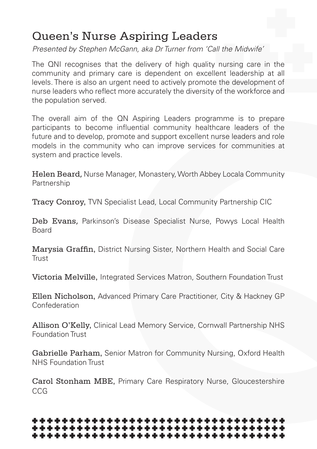# Queen's Nurse Aspiring Leaders

*Presented by Stephen McGann, aka Dr Turner from 'Call the Midwife'*

The QNI recognises that the delivery of high quality nursing care in the community and primary care is dependent on excellent leadership at all levels. There is also an urgent need to actively promote the development of nurse leaders who reflect more accurately the diversity of the workforce and the population served.

The overall aim of the QN Aspiring Leaders programme is to prepare participants to become influential community healthcare leaders of the future and to develop, promote and support excellent nurse leaders and role models in the community who can improve services for communities at system and practice levels.

Helen Beard, Nurse Manager, Monastery, Worth Abbey Locala Community Partnership

Tracy Conroy, TVN Specialist Lead, Local Community Partnership CIC

Deb Evans, Parkinson's Disease Specialist Nurse, Powys Local Health Board

Marysia Graffin, District Nursing Sister, Northern Health and Social Care Trust

Victoria Melville, Integrated Services Matron, Southern Foundation Trust

Ellen Nicholson, Advanced Primary Care Practitioner, City & Hackney GP Confederation

Allison O'Kelly, Clinical Lead Memory Service, Cornwall Partnership NHS Foundation Trust

Gabrielle Parham, Senior Matron for Community Nursing, Oxford Health NHS Foundation Trust

Carol Stonham MBE, Primary Care Respiratory Nurse, Gloucestershire CCG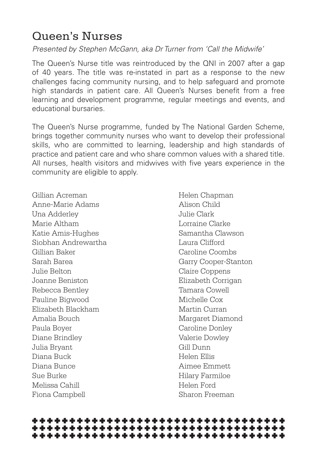# Queen's Nurses

*Presented by Stephen McGann, aka Dr Turner from 'Call the Midwife'*

The Queen's Nurse title was reintroduced by the QNI in 2007 after a gap of 40 years. The title was re-instated in part as a response to the new challenges facing community nursing, and to help safeguard and promote high standards in patient care. All Queen's Nurses benefit from a free learning and development programme, regular meetings and events, and educational bursaries.

The Queen's Nurse programme, funded by The National Garden Scheme, brings together community nurses who want to develop their professional skills, who are committed to learning, leadership and high standards of practice and patient care and who share common values with a shared title. All nurses, health visitors and midwives with five years experience in the community are eligible to apply.

Gillian Acreman Anne-Marie Adams Una Adderley Marie Altham Katie Amis-Hughes Siobhan Andrewartha Gillian Baker Sarah Barea Julie Belton Joanne Beniston Rebecca Bentley Pauline Bigwood Elizabeth Blackham Amalia Bouch Paula Boyer Diane Brindley Julia Bryant Diana Buck Diana Bunce Sue Burke Melissa Cahill Fiona Campbell

Helen Chapman Alison Child Julie Clark Lorraine Clarke Samantha Clawson Laura Clifford Caroline Coombs Garry Cooper-Stanton Claire Coppens Elizabeth Corrigan Tamara Cowell Michelle Cox Martin Curran Margaret Diamond Caroline Donley Valerie Dowley Gill Dunn Helen Ellis Aimee Emmett Hilary Farmiloe Helen Ford Sharon Freeman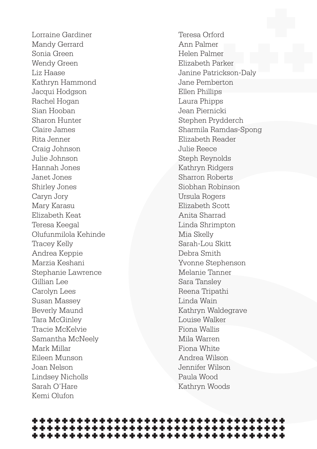Lorraine Gardiner Mandy Gerrard Sonia Green Wendy Green Liz Haase Kathryn Hammond Jacqui Hodgson Rachel Hogan Sian Hooban Sharon Hunter Claire James Rita Jenner Craig Johnson Julie Johnson Hannah Jones Janet Jones Shirley Jones Caryn Jory Mary Karasu Elizabeth Keat Teresa Keegal Olufunmilola Kehinde Tracey Kelly Andrea Keppie Marzia Keshani Stephanie Lawrence Gillian Lee Carolyn Lees Susan Massey Beverly Maund Tara McGinley Tracie McKelvie Samantha McNeely Mark Millar Eileen Munson Joan Nelson Lindsey Nicholls Sarah O'Hare Kemi Olufon

Teresa Orford Ann Palmer Helen Palmer Elizabeth Parker Janine Patrickson-Daly Jane Pemberton Ellen Phillips Laura Phipps Jean Piernicki Stephen Prydderch Sharmila Ramdas-Spong Elizabeth Reader Julie Reece Steph Reynolds Kathryn Ridgers Sharron Roberts Siobhan Robinson Ursula Rogers Elizabeth Scott Anita Sharrad Linda Shrimpton Mia Skelly Sarah-Lou Skitt Debra Smith Yvonne Stephenson Melanie Tanner Sara Tansley Reena Tripathi Linda Wain Kathryn Waldegrave Louise Walker Fiona Wallis Mila Warren Fiona White Andrea Wilson Jennifer Wilson Paula Wood Kathryn Woods